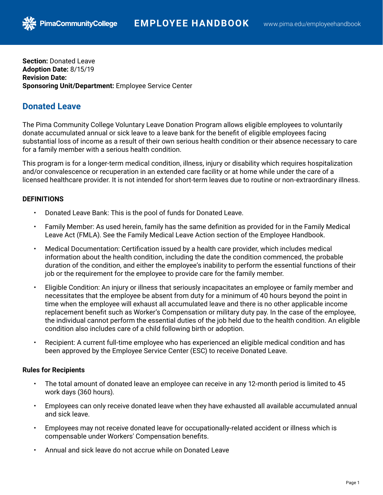**Section:** Donated Leave **Adoption Date:** 8/15/19 **Revision Date: Sponsoring Unit/Department:** Employee Service Center

**PimaCommunityCollege** 

# **Donated Leave**

The Pima Community College Voluntary Leave Donation Program allows eligible employees to voluntarily donate accumulated annual or sick leave to a leave bank for the benefit of eligible employees facing substantial loss of income as a result of their own serious health condition or their absence necessary to care for a family member with a serious health condition.

This program is for a longer-term medical condition, illness, injury or disability which requires hospitalization and/or convalescence or recuperation in an extended care facility or at home while under the care of a licensed healthcare provider. It is not intended for short-term leaves due to routine or non-extraordinary illness.

# **DEFINITIONS**

- Donated Leave Bank: This is the pool of funds for Donated Leave.
- Family Member: As used herein, family has the same definition as provided for in the Family Medical Leave Act (FMLA). See the Family Medical Leave Action section of the Employee Handbook.
- Medical Documentation: Certification issued by a health care provider, which includes medical information about the health condition, including the date the condition commenced, the probable duration of the condition, and either the employee's inability to perform the essential functions of their job or the requirement for the employee to provide care for the family member.
- Eligible Condition: An injury or illness that seriously incapacitates an employee or family member and necessitates that the employee be absent from duty for a minimum of 40 hours beyond the point in time when the employee will exhaust all accumulated leave and there is no other applicable income replacement benefit such as Worker's Compensation or military duty pay. In the case of the employee, the individual cannot perform the essential duties of the job held due to the health condition. An eligible condition also includes care of a child following birth or adoption.
- Recipient: A current full-time employee who has experienced an eligible medical condition and has been approved by the Employee Service Center (ESC) to receive Donated Leave.

# **Rules for Recipients**

- The total amount of donated leave an employee can receive in any 12-month period is limited to 45 work days (360 hours).
- Employees can only receive donated leave when they have exhausted all available accumulated annual and sick leave.
- Employees may not receive donated leave for occupationally-related accident or illness which is compensable under Workers' Compensation benefits.
- Annual and sick leave do not accrue while on Donated Leave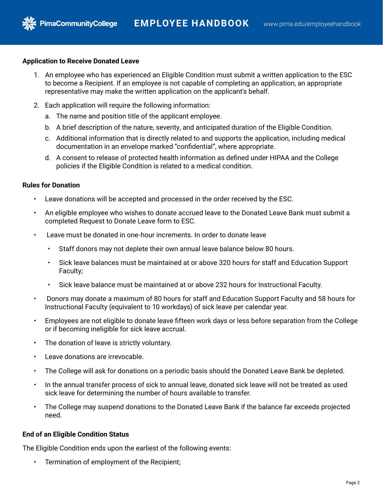## **Application to Receive Donated Leave**

**PimaCommunityCollege** 

- 1. An employee who has experienced an Eligible Condition must submit a written application to the ESC to become a Recipient. If an employee is not capable of completing an application, an appropriate representative may make the written application on the applicant's behalf.
- 2. Each application will require the following information:
	- a. The name and position title of the applicant employee.
	- b. A brief description of the nature, severity, and anticipated duration of the Eligible Condition.
	- c. Additional information that is directly related to and supports the application, including medical documentation in an envelope marked "confidential", where appropriate.
	- d. A consent to release of protected health information as defined under HIPAA and the College policies if the Eligible Condition is related to a medical condition.

## **Rules for Donation**

- Leave donations will be accepted and processed in the order received by the ESC.
- An eligible employee who wishes to donate accrued leave to the Donated Leave Bank must submit a completed Request to Donate Leave form to ESC.
- Leave must be donated in one-hour increments. In order to donate leave
	- Staff donors may not deplete their own annual leave balance below 80 hours.
	- Sick leave balances must be maintained at or above 320 hours for staff and Education Support Faculty;
	- Sick leave balance must be maintained at or above 232 hours for Instructional Faculty.
- Donors may donate a maximum of 80 hours for staff and Education Support Faculty and 58 hours for Instructional Faculty (equivalent to 10 workdays) of sick leave per calendar year.
- Employees are not eligible to donate leave fifteen work days or less before separation from the College or if becoming ineligible for sick leave accrual.
- The donation of leave is strictly voluntary.
- Leave donations are irrevocable.
- The College will ask for donations on a periodic basis should the Donated Leave Bank be depleted.
- In the annual transfer process of sick to annual leave, donated sick leave will not be treated as used sick leave for determining the number of hours available to transfer.
- The College may suspend donations to the Donated Leave Bank if the balance far exceeds projected need.

## **End of an Eligible Condition Status**

The Eligible Condition ends upon the earliest of the following events:

• Termination of employment of the Recipient;